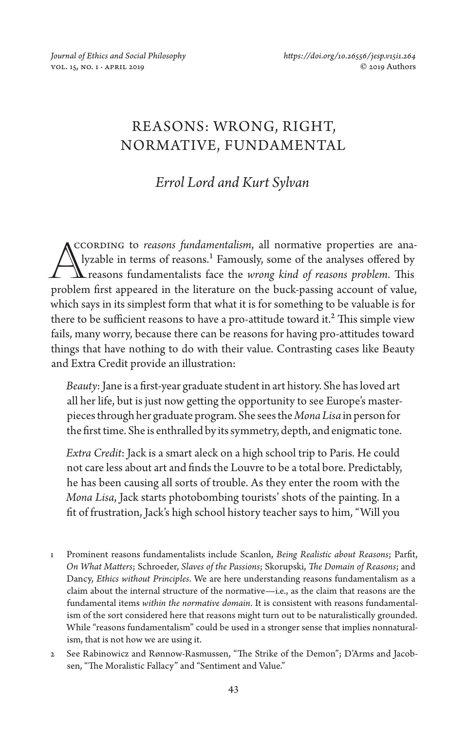# REASONS: WRONG, RIGHT, NORMATIVE, FUNDAMENTAL

# *Errol Lord and Kurt Sylvan*

ccording to *reasons fundamentalism*, all normative properties are analyzable in terms of reasons.<sup>1</sup> Famously, some of the analyses offered by CCORDING to *reasons fundamentalism*, all normative properties are analyzed by<br>reasons fundamentalists face the *wrong kind of reasons problem*. This<br>problem first appeared in the literature on the buck pessing account of problem first appeared in the literature on the buck-passing account of value, which says in its simplest form that what it is for something to be valuable is for there to be sufficient reasons to have a pro-attitude toward it.<sup>2</sup> This simple view fails, many worry, because there can be reasons for having pro-attitudes toward things that have nothing to do with their value. Contrasting cases like Beauty and Extra Credit provide an illustration:

*Beauty*: Jane is a first-year graduate student in art history. She has loved art all her life, but is just now getting the opportunity to see Europe's masterpieces through her graduate program. She sees the *Mona Lisa* in person for the first time. She is enthralled by its symmetry, depth, and enigmatic tone.

*Extra Credit*: Jack is a smart aleck on a high school trip to Paris. He could not care less about art and finds the Louvre to be a total bore. Predictably, he has been causing all sorts of trouble. As they enter the room with the *Mona Lisa*, Jack starts photobombing tourists' shots of the painting. In a fit of frustration, Jack's high school history teacher says to him, "Will you

- 1 Prominent reasons fundamentalists include Scanlon, *Being Realistic about Reasons*; Parfit, *On What Matters*; Schroeder, *Slaves of the Passions*; Skorupski, *The Domain of Reasons*; and Dancy, *Ethics without Principles*. We are here understanding reasons fundamentalism as a claim about the internal structure of the normative—i.e., as the claim that reasons are the fundamental items *within the normative domain*. It is consistent with reasons fundamentalism of the sort considered here that reasons might turn out to be naturalistically grounded. While "reasons fundamentalism" could be used in a stronger sense that implies nonnaturalism, that is not how we are using it.
- 2 See Rabinowicz and Rønnow-Rasmussen, "The Strike of the Demon"; D'Arms and Jacobsen, "The Moralistic Fallacy" and "Sentiment and Value."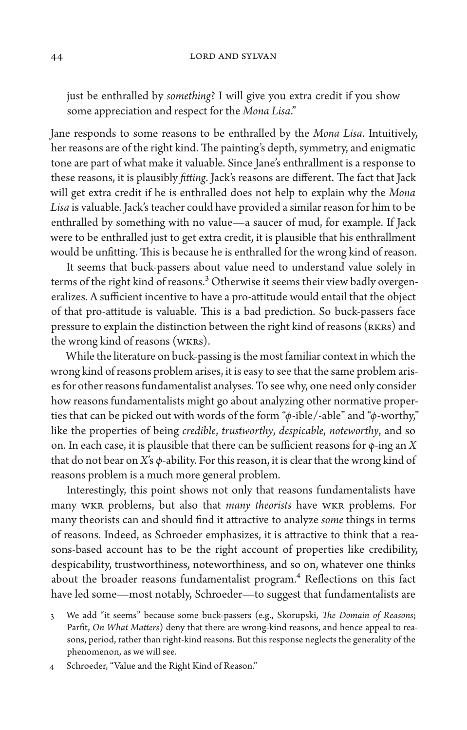just be enthralled by *something*? I will give you extra credit if you show some appreciation and respect for the *Mona Lisa*."

Jane responds to some reasons to be enthralled by the *Mona Lisa*. Intuitively, her reasons are of the right kind. The painting's depth, symmetry, and enigmatic tone are part of what make it valuable. Since Jane's enthrallment is a response to these reasons, it is plausibly *fitting*. Jack's reasons are different. The fact that Jack will get extra credit if he is enthralled does not help to explain why the *Mona Lisa* is valuable. Jack's teacher could have provided a similar reason for him to be enthralled by something with no value—a saucer of mud, for example. If Jack were to be enthralled just to get extra credit, it is plausible that his enthrallment would be unfitting. This is because he is enthralled for the wrong kind of reason.

It seems that buck-passers about value need to understand value solely in terms of the right kind of reasons.<sup>3</sup> Otherwise it seems their view badly overgeneralizes. A sufficient incentive to have a pro-attitude would entail that the object of that pro-attitude is valuable. This is a bad prediction. So buck-passers face pressure to explain the distinction between the right kind of reasons (RKRs) and the wrong kind of reasons (WKRs).

While the literature on buck-passing is the most familiar context in which the wrong kind of reasons problem arises, it is easy to see that the same problem arises for other reasons fundamentalist analyses. To see why, one need only consider how reasons fundamentalists might go about analyzing other normative properties that can be picked out with words of the form "*φ*-ible/-able" and "*φ*-worthy," like the properties of being *credible*, *trustworthy*, *despicable*, *noteworthy*, and so on. In each case, it is plausible that there can be sufficient reasons for φ-ing an *X* that do not bear on *X*'s *φ*-ability. For this reason, it is clear that the wrong kind of reasons problem is a much more general problem.

Interestingly, this point shows not only that reasons fundamentalists have many WKR problems, but also that *many theorists* have WKR problems. For many theorists can and should find it attractive to analyze *some* things in terms of reasons. Indeed, as Schroeder emphasizes, it is attractive to think that a reasons-based account has to be the right account of properties like credibility, despicability, trustworthiness, noteworthiness, and so on, whatever one thinks about the broader reasons fundamentalist program.<sup>4</sup> Reflections on this fact have led some—most notably, Schroeder—to suggest that fundamentalists are

<sup>3</sup> We add "it seems" because some buck-passers (e.g., Skorupski, *The Domain of Reasons*; Parfit, *On What Matters*) deny that there are wrong-kind reasons, and hence appeal to reasons, period, rather than right-kind reasons. But this response neglects the generality of the phenomenon, as we will see.

<sup>4</sup> Schroeder, "Value and the Right Kind of Reason."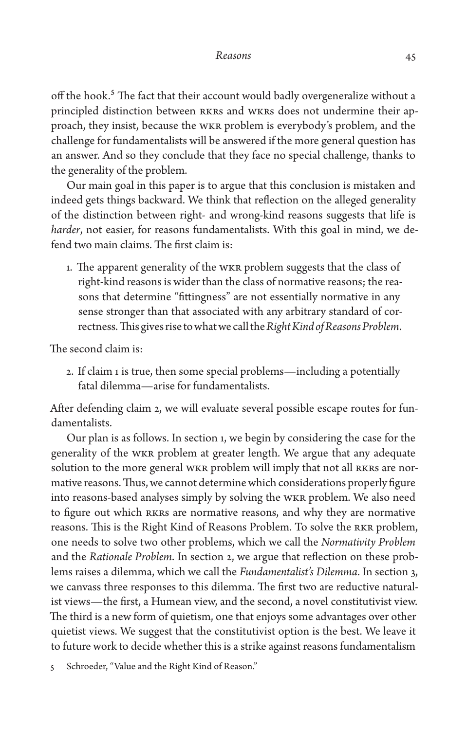off the hook.<sup>5</sup> The fact that their account would badly overgeneralize without a principled distinction between RKRs and WKRs does not undermine their approach, they insist, because the WKR problem is everybody's problem, and the challenge for fundamentalists will be answered if the more general question has an answer. And so they conclude that they face no special challenge, thanks to the generality of the problem.

Our main goal in this paper is to argue that this conclusion is mistaken and indeed gets things backward. We think that reflection on the alleged generality of the distinction between right- and wrong-kind reasons suggests that life is *harder*, not easier, for reasons fundamentalists. With this goal in mind, we defend two main claims. The first claim is:

1. The apparent generality of the WKR problem suggests that the class of right-kind reasons is wider than the class of normative reasons; the reasons that determine "fittingness" are not essentially normative in any sense stronger than that associated with any arbitrary standard of correctness. This gives rise to what we call the *Right Kind of Reasons Problem*.

The second claim is:

2. If claim 1 is true, then some special problems—including a potentially fatal dilemma—arise for fundamentalists.

After defending claim 2, we will evaluate several possible escape routes for fundamentalists.

Our plan is as follows. In section 1, we begin by considering the case for the generality of the WKR problem at greater length. We argue that any adequate solution to the more general WKR problem will imply that not all RKRs are normative reasons. Thus, we cannot determine which considerations properly figure into reasons-based analyses simply by solving the WKR problem. We also need to figure out which RKRs are normative reasons, and why they are normative reasons. This is the Right Kind of Reasons Problem. To solve the RKR problem, one needs to solve two other problems, which we call the *Normativity Problem* and the *Rationale Problem*. In section 2, we argue that reflection on these problems raises a dilemma, which we call the *Fundamentalist's Dilemma*. In section 3, we canvass three responses to this dilemma. The first two are reductive naturalist views—the first, a Humean view, and the second, a novel constitutivist view. The third is a new form of quietism, one that enjoys some advantages over other quietist views. We suggest that the constitutivist option is the best. We leave it to future work to decide whether this is a strike against reasons fundamentalism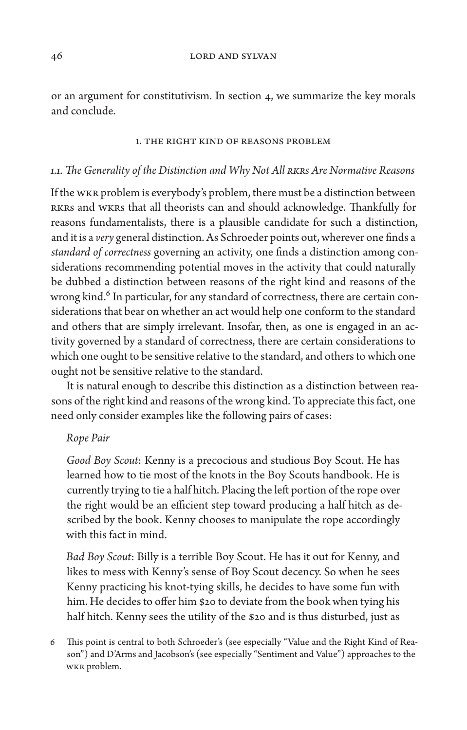or an argument for constitutivism. In section 4, we summarize the key morals and conclude.

#### 1. The Right Kind of Reasons Problem

# *1.1. The Generality of the Distinction and Why Not All RKRs Are Normative Reasons*

If the WKR problem is everybody's problem, there must be a distinction between RKRs and WKRs that all theorists can and should acknowledge. Thankfully for reasons fundamentalists, there is a plausible candidate for such a distinction, and it is a *very* general distinction. As Schroeder points out, wherever one finds a *standard of correctness* governing an activity, one finds a distinction among considerations recommending potential moves in the activity that could naturally be dubbed a distinction between reasons of the right kind and reasons of the wrong kind.<sup>6</sup> In particular, for any standard of correctness, there are certain considerations that bear on whether an act would help one conform to the standard and others that are simply irrelevant. Insofar, then, as one is engaged in an activity governed by a standard of correctness, there are certain considerations to which one ought to be sensitive relative to the standard, and others to which one ought not be sensitive relative to the standard.

It is natural enough to describe this distinction as a distinction between reasons of the right kind and reasons of the wrong kind. To appreciate this fact, one need only consider examples like the following pairs of cases:

# *Rope Pair*

*Good Boy Scout*: Kenny is a precocious and studious Boy Scout. He has learned how to tie most of the knots in the Boy Scouts handbook. He is currently trying to tie a half hitch. Placing the left portion of the rope over the right would be an efficient step toward producing a half hitch as described by the book. Kenny chooses to manipulate the rope accordingly with this fact in mind.

*Bad Boy Scout*: Billy is a terrible Boy Scout. He has it out for Kenny, and likes to mess with Kenny's sense of Boy Scout decency. So when he sees Kenny practicing his knot-tying skills, he decides to have some fun with him. He decides to offer him \$20 to deviate from the book when tying his half hitch. Kenny sees the utility of the \$20 and is thus disturbed, just as

6 This point is central to both Schroeder's (see especially "Value and the Right Kind of Reason") and D'Arms and Jacobson's (see especially "Sentiment and Value") approaches to the WKR problem.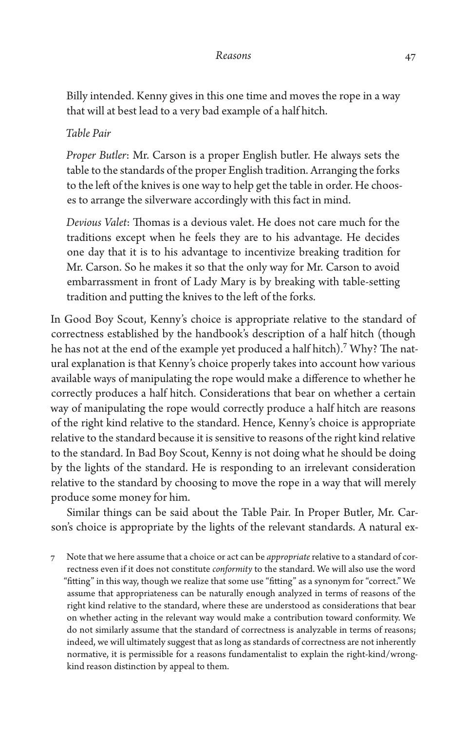Billy intended. Kenny gives in this one time and moves the rope in a way that will at best lead to a very bad example of a half hitch.

# *Table Pair*

*Proper Butler*: Mr. Carson is a proper English butler. He always sets the table to the standards of the proper English tradition. Arranging the forks to the left of the knives is one way to help get the table in order. He chooses to arrange the silverware accordingly with this fact in mind.

*Devious Valet*: Thomas is a devious valet. He does not care much for the traditions except when he feels they are to his advantage. He decides one day that it is to his advantage to incentivize breaking tradition for Mr. Carson. So he makes it so that the only way for Mr. Carson to avoid embarrassment in front of Lady Mary is by breaking with table-setting tradition and putting the knives to the left of the forks.

In Good Boy Scout, Kenny's choice is appropriate relative to the standard of correctness established by the handbook's description of a half hitch (though he has not at the end of the example yet produced a half hitch).<sup>7</sup> Why? The natural explanation is that Kenny's choice properly takes into account how various available ways of manipulating the rope would make a difference to whether he correctly produces a half hitch. Considerations that bear on whether a certain way of manipulating the rope would correctly produce a half hitch are reasons of the right kind relative to the standard. Hence, Kenny's choice is appropriate relative to the standard because it is sensitive to reasons of the right kind relative to the standard. In Bad Boy Scout, Kenny is not doing what he should be doing by the lights of the standard. He is responding to an irrelevant consideration relative to the standard by choosing to move the rope in a way that will merely produce some money for him.

Similar things can be said about the Table Pair. In Proper Butler, Mr. Carson's choice is appropriate by the lights of the relevant standards. A natural ex-

7 Note that we here assume that a choice or act can be *appropriate* relative to a standard of correctness even if it does not constitute *conformity* to the standard. We will also use the word "fitting" in this way, though we realize that some use "fitting" as a synonym for "correct." We assume that appropriateness can be naturally enough analyzed in terms of reasons of the right kind relative to the standard, where these are understood as considerations that bear on whether acting in the relevant way would make a contribution toward conformity. We do not similarly assume that the standard of correctness is analyzable in terms of reasons; indeed, we will ultimately suggest that as long as standards of correctness are not inherently normative, it is permissible for a reasons fundamentalist to explain the right-kind/wrongkind reason distinction by appeal to them.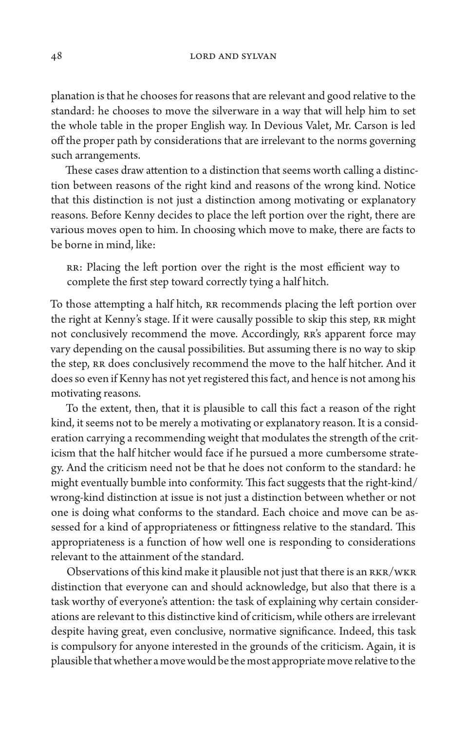planation is that he chooses for reasons that are relevant and good relative to the standard: he chooses to move the silverware in a way that will help him to set the whole table in the proper English way. In Devious Valet, Mr. Carson is led off the proper path by considerations that are irrelevant to the norms governing such arrangements.

These cases draw attention to a distinction that seems worth calling a distinction between reasons of the right kind and reasons of the wrong kind. Notice that this distinction is not just a distinction among motivating or explanatory reasons. Before Kenny decides to place the left portion over the right, there are various moves open to him. In choosing which move to make, there are facts to be borne in mind, like:

RR: Placing the left portion over the right is the most efficient way to complete the first step toward correctly tying a half hitch.

To those attempting a half hitch, RR recommends placing the left portion over the right at Kenny's stage. If it were causally possible to skip this step, RR might not conclusively recommend the move. Accordingly, RR's apparent force may vary depending on the causal possibilities. But assuming there is no way to skip the step, RR does conclusively recommend the move to the half hitcher. And it does so even if Kenny has not yet registered this fact, and hence is not among his motivating reasons.

To the extent, then, that it is plausible to call this fact a reason of the right kind, it seems not to be merely a motivating or explanatory reason. It is a consideration carrying a recommending weight that modulates the strength of the criticism that the half hitcher would face if he pursued a more cumbersome strategy. And the criticism need not be that he does not conform to the standard: he might eventually bumble into conformity. This fact suggests that the right-kind/ wrong-kind distinction at issue is not just a distinction between whether or not one is doing what conforms to the standard. Each choice and move can be assessed for a kind of appropriateness or fittingness relative to the standard. This appropriateness is a function of how well one is responding to considerations relevant to the attainment of the standard.

Observations of this kind make it plausible not just that there is an RKR/WKR distinction that everyone can and should acknowledge, but also that there is a task worthy of everyone's attention: the task of explaining why certain considerations are relevant to this distinctive kind of criticism, while others are irrelevant despite having great, even conclusive, normative significance. Indeed, this task is compulsory for anyone interested in the grounds of the criticism. Again, it is plausible that whether a move would be the most appropriate move relative to the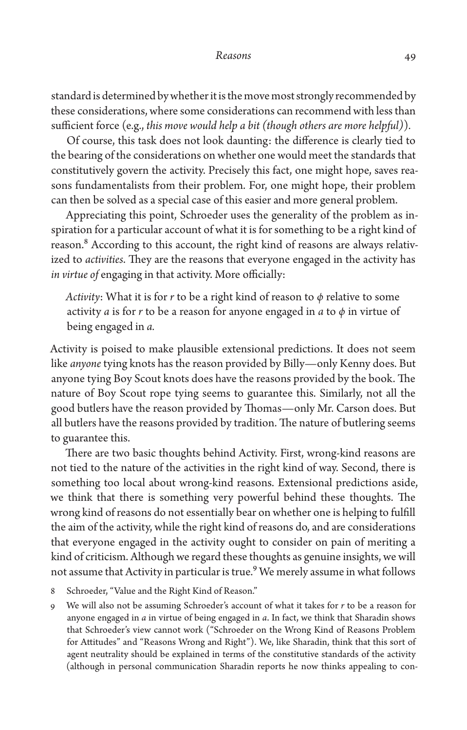standard is determined by whether it is the move most strongly recommended by these considerations, where some considerations can recommend with less than sufficient force (e.g., *this move would help a bit (though others are more helpful)*)*.* 

Of course, this task does not look daunting: the difference is clearly tied to the bearing of the considerations on whether one would meet the standards that constitutively govern the activity. Precisely this fact, one might hope, saves reasons fundamentalists from their problem. For, one might hope, their problem can then be solved as a special case of this easier and more general problem.

Appreciating this point, Schroeder uses the generality of the problem as inspiration for a particular account of what it is for something to be a right kind of reason.<sup>8</sup> According to this account, the right kind of reasons are always relativized to *activities*. They are the reasons that everyone engaged in the activity has *in virtue of* engaging in that activity. More officially:

*Activity*: What it is for *r* to be a right kind of reason to *φ* relative to some activity *a* is for *r* to be a reason for anyone engaged in *a* to *φ* in virtue of being engaged in *a.* 

Activity is poised to make plausible extensional predictions. It does not seem like *anyone* tying knots has the reason provided by Billy—only Kenny does. But anyone tying Boy Scout knots does have the reasons provided by the book. The nature of Boy Scout rope tying seems to guarantee this. Similarly, not all the good butlers have the reason provided by Thomas—only Mr. Carson does. But all butlers have the reasons provided by tradition. The nature of butlering seems to guarantee this.

There are two basic thoughts behind Activity. First, wrong-kind reasons are not tied to the nature of the activities in the right kind of way. Second, there is something too local about wrong-kind reasons. Extensional predictions aside, we think that there is something very powerful behind these thoughts. The wrong kind of reasons do not essentially bear on whether one is helping to fulfill the aim of the activity, while the right kind of reasons do, and are considerations that everyone engaged in the activity ought to consider on pain of meriting a kind of criticism. Although we regard these thoughts as genuine insights, we will not assume that Activity in particular is true.<sup>9</sup> We merely assume in what follows

- 8 Schroeder, "Value and the Right Kind of Reason."
- 9 We will also not be assuming Schroeder's account of what it takes for *r* to be a reason for anyone engaged in *a* in virtue of being engaged in *a*. In fact, we think that Sharadin shows that Schroeder's view cannot work ("Schroeder on the Wrong Kind of Reasons Problem for Attitudes" and "Reasons Wrong and Right"). We, like Sharadin, think that this sort of agent neutrality should be explained in terms of the constitutive standards of the activity (although in personal communication Sharadin reports he now thinks appealing to con-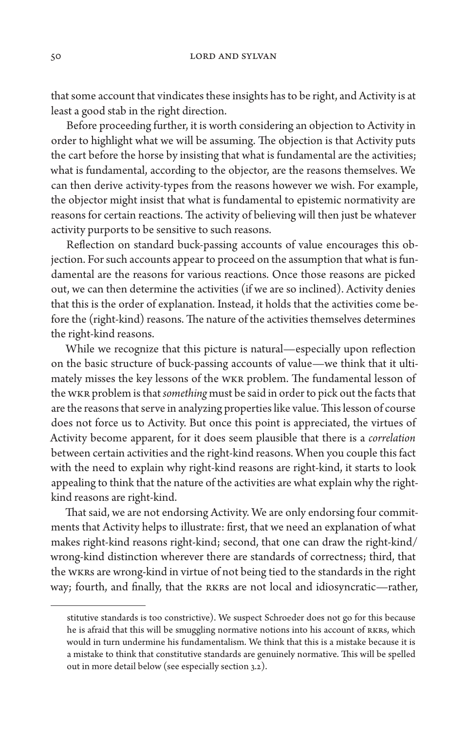that some account that vindicates these insights has to be right, and Activity is at least a good stab in the right direction.

Before proceeding further, it is worth considering an objection to Activity in order to highlight what we will be assuming. The objection is that Activity puts the cart before the horse by insisting that what is fundamental are the activities; what is fundamental, according to the objector, are the reasons themselves. We can then derive activity-types from the reasons however we wish. For example, the objector might insist that what is fundamental to epistemic normativity are reasons for certain reactions. The activity of believing will then just be whatever activity purports to be sensitive to such reasons.

Reflection on standard buck-passing accounts of value encourages this objection. For such accounts appear to proceed on the assumption that what is fundamental are the reasons for various reactions. Once those reasons are picked out, we can then determine the activities (if we are so inclined). Activity denies that this is the order of explanation. Instead, it holds that the activities come before the (right-kind) reasons. The nature of the activities themselves determines the right-kind reasons.

While we recognize that this picture is natural—especially upon reflection on the basic structure of buck-passing accounts of value—we think that it ultimately misses the key lessons of the WKR problem. The fundamental lesson of the WKR problem is that *something* must be said in order to pick out the facts that are the reasons that serve in analyzing properties like value. This lesson of course does not force us to Activity. But once this point is appreciated, the virtues of Activity become apparent, for it does seem plausible that there is a *correlation* between certain activities and the right-kind reasons. When you couple this fact with the need to explain why right-kind reasons are right-kind, it starts to look appealing to think that the nature of the activities are what explain why the rightkind reasons are right-kind.

That said, we are not endorsing Activity. We are only endorsing four commitments that Activity helps to illustrate: first, that we need an explanation of what makes right-kind reasons right-kind; second, that one can draw the right-kind/ wrong-kind distinction wherever there are standards of correctness; third, that the WKRs are wrong-kind in virtue of not being tied to the standards in the right way; fourth, and finally, that the RKRs are not local and idiosyncratic—rather,

stitutive standards is too constrictive). We suspect Schroeder does not go for this because he is afraid that this will be smuggling normative notions into his account of RKRs, which would in turn undermine his fundamentalism. We think that this is a mistake because it is a mistake to think that constitutive standards are genuinely normative. This will be spelled out in more detail below (see especially section 3.2).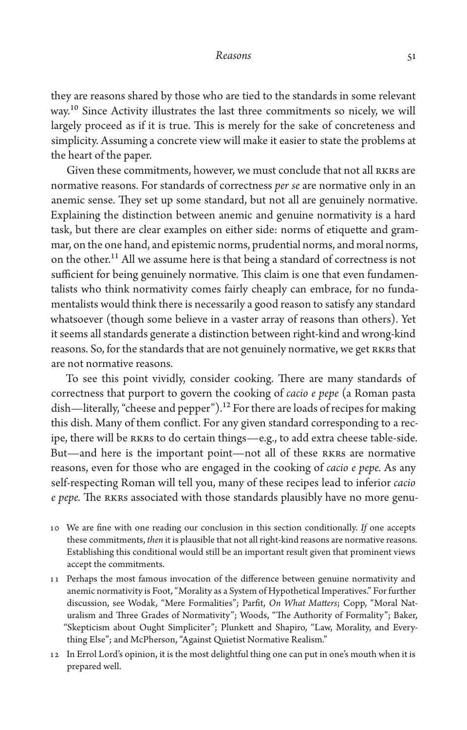they are reasons shared by those who are tied to the standards in some relevant way.10 Since Activity illustrates the last three commitments so nicely, we will largely proceed as if it is true. This is merely for the sake of concreteness and simplicity. Assuming a concrete view will make it easier to state the problems at the heart of the paper.

Given these commitments, however, we must conclude that not all RKRs are normative reasons. For standards of correctness *per se* are normative only in an anemic sense. They set up some standard, but not all are genuinely normative. Explaining the distinction between anemic and genuine normativity is a hard task, but there are clear examples on either side: norms of etiquette and grammar, on the one hand, and epistemic norms, prudential norms, and moral norms, on the other.<sup>11</sup> All we assume here is that being a standard of correctness is not sufficient for being genuinely normative. This claim is one that even fundamentalists who think normativity comes fairly cheaply can embrace, for no fundamentalists would think there is necessarily a good reason to satisfy any standard whatsoever (though some believe in a vaster array of reasons than others). Yet it seems all standards generate a distinction between right-kind and wrong-kind reasons. So, for the standards that are not genuinely normative, we get RKRs that are not normative reasons.

To see this point vividly, consider cooking. There are many standards of correctness that purport to govern the cooking of *cacio e pepe* (a Roman pasta dish—literally, "cheese and pepper").<sup>12</sup> For there are loads of recipes for making this dish. Many of them conflict. For any given standard corresponding to a recipe, there will be RKRs to do certain things—e.g., to add extra cheese table-side. But—and here is the important point—not all of these RKRs are normative reasons, even for those who are engaged in the cooking of *cacio e pepe.* As any self-respecting Roman will tell you, many of these recipes lead to inferior *cacio e pepe.* The RKRs associated with those standards plausibly have no more genu-

- 10 We are fine with one reading our conclusion in this section conditionally. *If* one accepts these commitments, *then* it is plausible that not all right-kind reasons are normative reasons. Establishing this conditional would still be an important result given that prominent views accept the commitments.
- 11 Perhaps the most famous invocation of the difference between genuine normativity and anemic normativity is Foot, "Morality as a System of Hypothetical Imperatives." For further discussion, see Wodak, "Mere Formalities"; Parfit, *On What Matters*; Copp, "Moral Naturalism and Three Grades of Normativity"; Woods, "The Authority of Formality"; Baker, "Skepticism about Ought Simpliciter"; Plunkett and Shapiro, "Law, Morality, and Everything Else"; and McPherson, "Against Quietist Normative Realism."
- 12 In Errol Lord's opinion, it is the most delightful thing one can put in one's mouth when it is prepared well.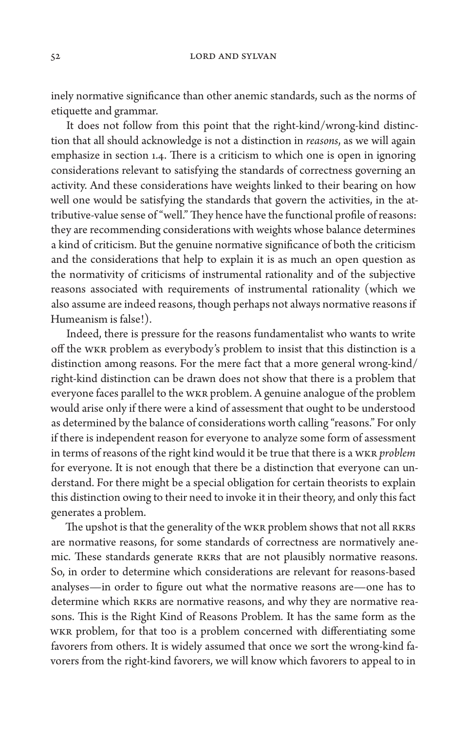inely normative significance than other anemic standards, such as the norms of etiquette and grammar.

It does not follow from this point that the right-kind/wrong-kind distinction that all should acknowledge is not a distinction in *reasons*, as we will again emphasize in section 1.4. There is a criticism to which one is open in ignoring considerations relevant to satisfying the standards of correctness governing an activity. And these considerations have weights linked to their bearing on how well one would be satisfying the standards that govern the activities, in the attributive-value sense of "well." They hence have the functional profile of reasons: they are recommending considerations with weights whose balance determines a kind of criticism. But the genuine normative significance of both the criticism and the considerations that help to explain it is as much an open question as the normativity of criticisms of instrumental rationality and of the subjective reasons associated with requirements of instrumental rationality (which we also assume are indeed reasons, though perhaps not always normative reasons if Humeanism is false!).

Indeed, there is pressure for the reasons fundamentalist who wants to write off the WKR problem as everybody's problem to insist that this distinction is a distinction among reasons. For the mere fact that a more general wrong-kind/ right-kind distinction can be drawn does not show that there is a problem that everyone faces parallel to the WKR problem. A genuine analogue of the problem would arise only if there were a kind of assessment that ought to be understood as determined by the balance of considerations worth calling "reasons." For only if there is independent reason for everyone to analyze some form of assessment in terms of reasons of the right kind would it be true that there is a WKR *problem*  for everyone. It is not enough that there be a distinction that everyone can understand. For there might be a special obligation for certain theorists to explain this distinction owing to their need to invoke it in their theory, and only this fact generates a problem.

The upshot is that the generality of the WKR problem shows that not all RKRS are normative reasons, for some standards of correctness are normatively anemic. These standards generate RKRs that are not plausibly normative reasons. So, in order to determine which considerations are relevant for reasons-based analyses—in order to figure out what the normative reasons are—one has to determine which RKRs are normative reasons, and why they are normative reasons. This is the Right Kind of Reasons Problem*.* It has the same form as the WKR problem, for that too is a problem concerned with differentiating some favorers from others. It is widely assumed that once we sort the wrong-kind favorers from the right-kind favorers, we will know which favorers to appeal to in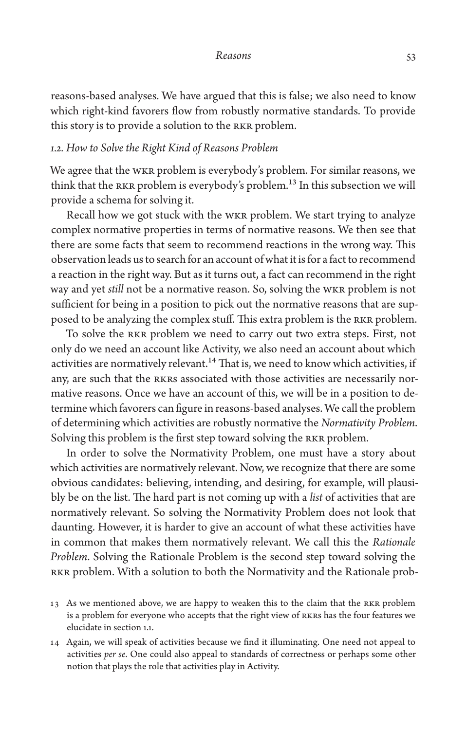reasons-based analyses. We have argued that this is false; we also need to know which right-kind favorers flow from robustly normative standards. To provide this story is to provide a solution to the RKR problem.

## *1.2. How to Solve the Right Kind of Reasons Problem*

We agree that the WKR problem is everybody's problem. For similar reasons, we think that the RKR problem is everybody's problem.13 In this subsection we will provide a schema for solving it.

Recall how we got stuck with the WKR problem. We start trying to analyze complex normative properties in terms of normative reasons. We then see that there are some facts that seem to recommend reactions in the wrong way. This observation leads us to search for an account of what it is for a fact to recommend a reaction in the right way. But as it turns out, a fact can recommend in the right way and yet *still* not be a normative reason. So, solving the WKR problem is not sufficient for being in a position to pick out the normative reasons that are supposed to be analyzing the complex stuff. This extra problem is the RKR problem.

To solve the RKR problem we need to carry out two extra steps. First, not only do we need an account like Activity, we also need an account about which activities are normatively relevant.<sup>14</sup> That is, we need to know which activities, if any, are such that the RKRs associated with those activities are necessarily normative reasons. Once we have an account of this, we will be in a position to determine which favorers can figure in reasons-based analyses. We call the problem of determining which activities are robustly normative the *Normativity Problem*. Solving this problem is the first step toward solving the RKR problem.

In order to solve the Normativity Problem, one must have a story about which activities are normatively relevant. Now, we recognize that there are some obvious candidates: believing, intending, and desiring, for example, will plausibly be on the list. The hard part is not coming up with a *list* of activities that are normatively relevant. So solving the Normativity Problem does not look that daunting. However, it is harder to give an account of what these activities have in common that makes them normatively relevant. We call this the *Rationale Problem*. Solving the Rationale Problem is the second step toward solving the RKR problem. With a solution to both the Normativity and the Rationale prob-

- 13 As we mentioned above, we are happy to weaken this to the claim that the RKR problem is a problem for everyone who accepts that the right view of RKRs has the four features we elucidate in section 1.1.
- 14 Again, we will speak of activities because we find it illuminating. One need not appeal to activities *per se*. One could also appeal to standards of correctness or perhaps some other notion that plays the role that activities play in Activity.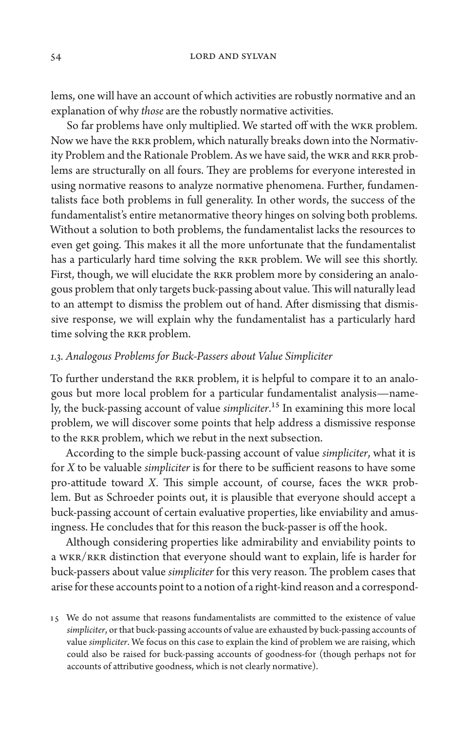lems, one will have an account of which activities are robustly normative and an explanation of why *those* are the robustly normative activities.

So far problems have only multiplied. We started off with the WKR problem. Now we have the RKR problem, which naturally breaks down into the Normativity Problem and the Rationale Problem. As we have said, the WKR and RKR problems are structurally on all fours. They are problems for everyone interested in using normative reasons to analyze normative phenomena. Further, fundamentalists face both problems in full generality. In other words, the success of the fundamentalist's entire metanormative theory hinges on solving both problems. Without a solution to both problems, the fundamentalist lacks the resources to even get going. This makes it all the more unfortunate that the fundamentalist has a particularly hard time solving the RKR problem. We will see this shortly. First, though, we will elucidate the RKR problem more by considering an analogous problem that only targets buck-passing about value. This will naturally lead to an attempt to dismiss the problem out of hand. After dismissing that dismissive response, we will explain why the fundamentalist has a particularly hard time solving the RKR problem.

# *1.3. Analogous Problems for Buck-Passers about Value Simpliciter*

To further understand the RKR problem, it is helpful to compare it to an analogous but more local problem for a particular fundamentalist analysis—namely, the buck-passing account of value *simpliciter*.15 In examining this more local problem, we will discover some points that help address a dismissive response to the RKR problem, which we rebut in the next subsection.

According to the simple buck-passing account of value *simpliciter*, what it is for *X* to be valuable *simpliciter* is for there to be sufficient reasons to have some pro-attitude toward *X.* This simple account, of course, faces the WKR problem. But as Schroeder points out, it is plausible that everyone should accept a buck-passing account of certain evaluative properties, like enviability and amusingness. He concludes that for this reason the buck-passer is off the hook.

Although considering properties like admirability and enviability points to a WKR/RKR distinction that everyone should want to explain, life is harder for buck-passers about value *simpliciter* for this very reason. The problem cases that arise for these accounts point to a notion of a right-kind reason and a correspond-

<sup>15</sup> We do not assume that reasons fundamentalists are committed to the existence of value *simpliciter*, or that buck-passing accounts of value are exhausted by buck-passing accounts of value *simpliciter*. We focus on this case to explain the kind of problem we are raising, which could also be raised for buck-passing accounts of goodness-for (though perhaps not for accounts of attributive goodness, which is not clearly normative).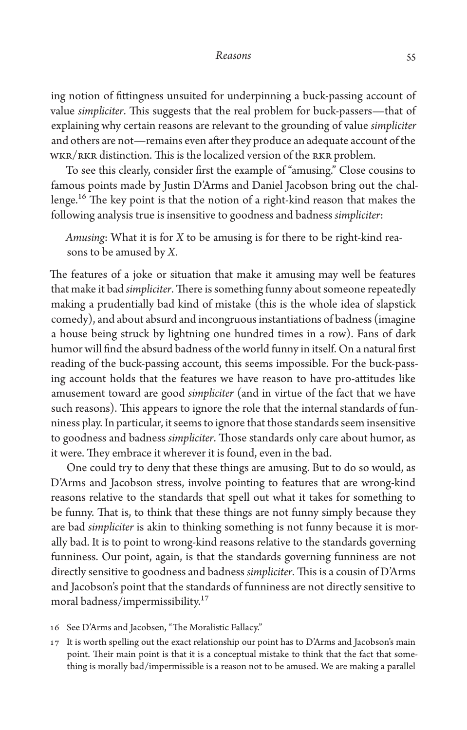ing notion of fittingness unsuited for underpinning a buck-passing account of value *simpliciter*. This suggests that the real problem for buck-passers—that of explaining why certain reasons are relevant to the grounding of value *simpliciter* and others are not—remains even after they produce an adequate account of the WKR/RKR distinction. This is the localized version of the RKR problem.

To see this clearly, consider first the example of "amusing." Close cousins to famous points made by Justin D'Arms and Daniel Jacobson bring out the challenge.16 The key point is that the notion of a right-kind reason that makes the following analysis true is insensitive to goodness and badness *simpliciter*:

*Amusing*: What it is for *X* to be amusing is for there to be right-kind reasons to be amused by *X.*

The features of a joke or situation that make it amusing may well be features that make it bad *simpliciter*. There is something funny about someone repeatedly making a prudentially bad kind of mistake (this is the whole idea of slapstick comedy), and about absurd and incongruous instantiations of badness (imagine a house being struck by lightning one hundred times in a row). Fans of dark humor will find the absurd badness of the world funny in itself. On a natural first reading of the buck-passing account, this seems impossible. For the buck-passing account holds that the features we have reason to have pro-attitudes like amusement toward are good *simpliciter* (and in virtue of the fact that we have such reasons). This appears to ignore the role that the internal standards of funniness play. In particular, it seems to ignore that those standards seem insensitive to goodness and badness *simpliciter*. Those standards only care about humor, as it were. They embrace it wherever it is found, even in the bad.

One could try to deny that these things are amusing. But to do so would, as D'Arms and Jacobson stress, involve pointing to features that are wrong-kind reasons relative to the standards that spell out what it takes for something to be funny. That is, to think that these things are not funny simply because they are bad *simpliciter* is akin to thinking something is not funny because it is morally bad. It is to point to wrong-kind reasons relative to the standards governing funniness. Our point, again, is that the standards governing funniness are not directly sensitive to goodness and badness *simpliciter*. This is a cousin of D'Arms and Jacobson's point that the standards of funniness are not directly sensitive to moral badness/impermissibility.17

- 16 See D'Arms and Jacobsen, "The Moralistic Fallacy."
- 17 It is worth spelling out the exact relationship our point has to D'Arms and Jacobson's main point. Their main point is that it is a conceptual mistake to think that the fact that something is morally bad/impermissible is a reason not to be amused. We are making a parallel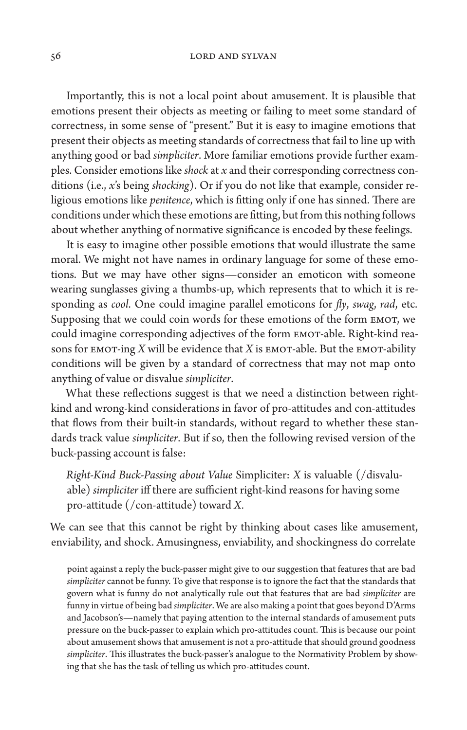Importantly, this is not a local point about amusement. It is plausible that emotions present their objects as meeting or failing to meet some standard of correctness, in some sense of "present." But it is easy to imagine emotions that present their objects as meeting standards of correctness that fail to line up with anything good or bad *simpliciter*. More familiar emotions provide further examples. Consider emotions like *shock* at *x* and their corresponding correctness conditions (i.e., *x*'s being *shocking*). Or if you do not like that example, consider religious emotions like *penitence*, which is fitting only if one has sinned. There are conditions under which these emotions are fitting, but from this nothing follows about whether anything of normative significance is encoded by these feelings.

It is easy to imagine other possible emotions that would illustrate the same moral. We might not have names in ordinary language for some of these emotions. But we may have other signs—consider an emoticon with someone wearing sunglasses giving a thumbs-up, which represents that to which it is responding as *cool*. One could imagine parallel emoticons for *fly*, *swag*, *rad*, etc. Supposing that we could coin words for these emotions of the form EMOT, we could imagine corresponding adjectives of the form EMOT-able. Right-kind reasons for EMOT-ing *X* will be evidence that *X* is EMOT-able. But the EMOT-ability conditions will be given by a standard of correctness that may not map onto anything of value or disvalue *simpliciter*.

What these reflections suggest is that we need a distinction between rightkind and wrong-kind considerations in favor of pro-attitudes and con-attitudes that flows from their built-in standards, without regard to whether these standards track value *simpliciter*. But if so, then the following revised version of the buck-passing account is false:

*Right-Kind Buck-Passing about Value* Simpliciter: *X* is valuable (/disvaluable) *simpliciter* iff there are sufficient right-kind reasons for having some pro-attitude (/con-attitude) toward *X.*

We can see that this cannot be right by thinking about cases like amusement, enviability, and shock. Amusingness, enviability, and shockingness do correlate

point against a reply the buck-passer might give to our suggestion that features that are bad *simpliciter* cannot be funny. To give that response is to ignore the fact that the standards that govern what is funny do not analytically rule out that features that are bad *simpliciter* are funny in virtue of being bad *simpliciter*. We are also making a point that goes beyond D'Arms and Jacobson's—namely that paying attention to the internal standards of amusement puts pressure on the buck-passer to explain which pro-attitudes count. This is because our point about amusement shows that amusement is not a pro-attitude that should ground goodness *simpliciter*. This illustrates the buck-passer's analogue to the Normativity Problem by showing that she has the task of telling us which pro-attitudes count.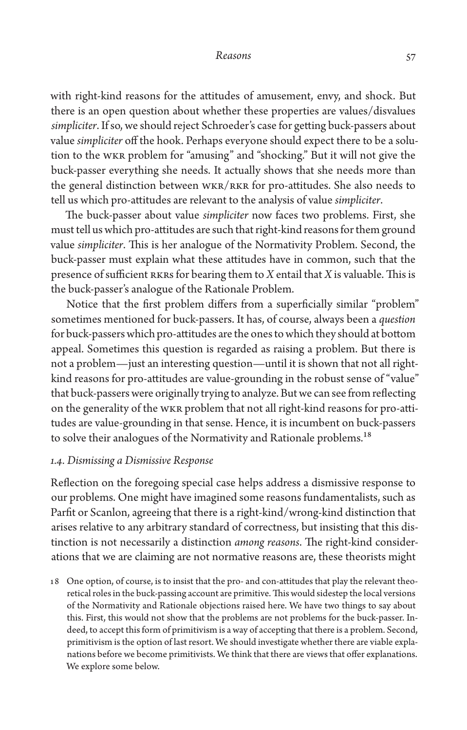with right-kind reasons for the attitudes of amusement, envy, and shock. But there is an open question about whether these properties are values/disvalues *simpliciter*. If so, we should reject Schroeder's case for getting buck-passers about value *simpliciter* off the hook. Perhaps everyone should expect there to be a solution to the WKR problem for "amusing" and "shocking." But it will not give the buck-passer everything she needs. It actually shows that she needs more than the general distinction between WKR/RKR for pro-attitudes. She also needs to tell us which pro-attitudes are relevant to the analysis of value *simpliciter*.

The buck-passer about value *simpliciter* now faces two problems. First, she must tell us which pro-attitudes are such that right-kind reasons for them ground value *simpliciter*. This is her analogue of the Normativity Problem. Second, the buck-passer must explain what these attitudes have in common, such that the presence of sufficient RKRs for bearing them to *X* entail that *X* is valuable. This is the buck-passer's analogue of the Rationale Problem.

Notice that the first problem differs from a superficially similar "problem" sometimes mentioned for buck-passers. It has, of course, always been a *question* for buck-passers which pro-attitudes are the ones to which they should at bottom appeal. Sometimes this question is regarded as raising a problem. But there is not a problem—just an interesting question—until it is shown that not all rightkind reasons for pro-attitudes are value-grounding in the robust sense of "value" that buck-passers were originally trying to analyze. But we can see from reflecting on the generality of the WKR problem that not all right-kind reasons for pro-attitudes are value-grounding in that sense. Hence, it is incumbent on buck-passers to solve their analogues of the Normativity and Rationale problems.<sup>18</sup>

## *1.4. Dismissing a Dismissive Response*

Reflection on the foregoing special case helps address a dismissive response to our problems. One might have imagined some reasons fundamentalists, such as Parfit or Scanlon, agreeing that there is a right-kind/wrong-kind distinction that arises relative to any arbitrary standard of correctness, but insisting that this distinction is not necessarily a distinction *among reasons*. The right-kind considerations that we are claiming are not normative reasons are, these theorists might

18 One option, of course, is to insist that the pro- and con-attitudes that play the relevant theoretical roles in the buck-passing account are primitive. This would sidestep the local versions of the Normativity and Rationale objections raised here. We have two things to say about this. First, this would not show that the problems are not problems for the buck-passer. Indeed, to accept this form of primitivism is a way of accepting that there is a problem. Second, primitivism is the option of last resort. We should investigate whether there are viable explanations before we become primitivists. We think that there are views that offer explanations. We explore some below.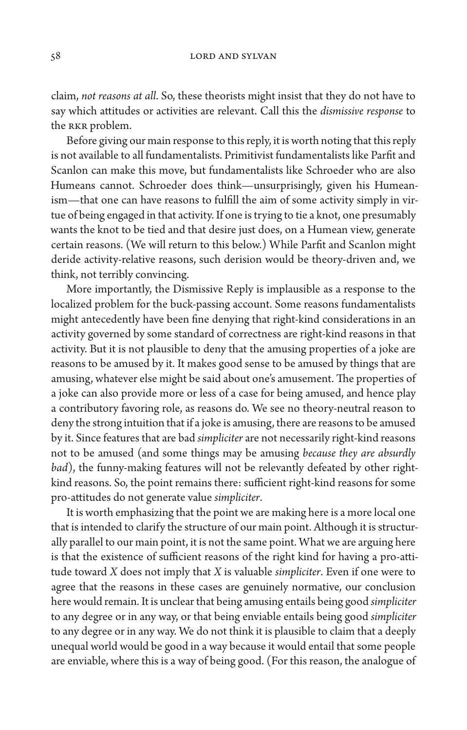claim, *not reasons at all*. So, these theorists might insist that they do not have to say which attitudes or activities are relevant. Call this the *dismissive response* to the RKR problem.

Before giving our main response to this reply, it is worth noting that this reply is not available to all fundamentalists. Primitivist fundamentalists like Parfit and Scanlon can make this move, but fundamentalists like Schroeder who are also Humeans cannot. Schroeder does think—unsurprisingly, given his Humeanism—that one can have reasons to fulfill the aim of some activity simply in virtue of being engaged in that activity. If one is trying to tie a knot, one presumably wants the knot to be tied and that desire just does, on a Humean view, generate certain reasons. (We will return to this below.) While Parfit and Scanlon might deride activity-relative reasons, such derision would be theory-driven and, we think, not terribly convincing.

More importantly, the Dismissive Reply is implausible as a response to the localized problem for the buck-passing account. Some reasons fundamentalists might antecedently have been fine denying that right-kind considerations in an activity governed by some standard of correctness are right-kind reasons in that activity. But it is not plausible to deny that the amusing properties of a joke are reasons to be amused by it. It makes good sense to be amused by things that are amusing, whatever else might be said about one's amusement. The properties of a joke can also provide more or less of a case for being amused, and hence play a contributory favoring role, as reasons do. We see no theory-neutral reason to deny the strong intuition that if a joke is amusing, there are reasons to be amused by it. Since features that are bad *simpliciter* are not necessarily right-kind reasons not to be amused (and some things may be amusing *because they are absurdly bad*), the funny-making features will not be relevantly defeated by other rightkind reasons. So, the point remains there: sufficient right-kind reasons for some pro-attitudes do not generate value *simpliciter*.

It is worth emphasizing that the point we are making here is a more local one that is intended to clarify the structure of our main point. Although it is structurally parallel to our main point, it is not the same point. What we are arguing here is that the existence of sufficient reasons of the right kind for having a pro-attitude toward *X* does not imply that *X* is valuable *simpliciter*. Even if one were to agree that the reasons in these cases are genuinely normative, our conclusion here would remain. It is unclear that being amusing entails being good *simpliciter* to any degree or in any way, or that being enviable entails being good *simpliciter* to any degree or in any way. We do not think it is plausible to claim that a deeply unequal world would be good in a way because it would entail that some people are enviable, where this is a way of being good. (For this reason, the analogue of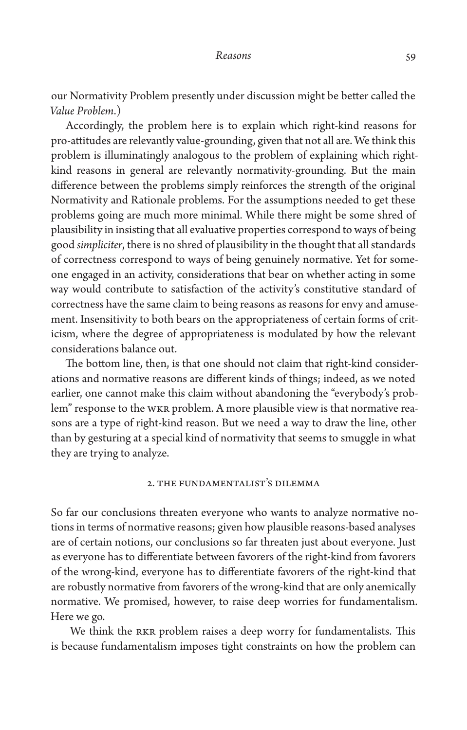our Normativity Problem presently under discussion might be better called the *Value Problem*.)

Accordingly, the problem here is to explain which right-kind reasons for pro-attitudes are relevantly value-grounding, given that not all are. We think this problem is illuminatingly analogous to the problem of explaining which rightkind reasons in general are relevantly normativity-grounding. But the main difference between the problems simply reinforces the strength of the original Normativity and Rationale problems. For the assumptions needed to get these problems going are much more minimal. While there might be some shred of plausibility in insisting that all evaluative properties correspond to ways of being good *simpliciter*, there is no shred of plausibility in the thought that all standards of correctness correspond to ways of being genuinely normative. Yet for someone engaged in an activity, considerations that bear on whether acting in some way would contribute to satisfaction of the activity's constitutive standard of correctness have the same claim to being reasons as reasons for envy and amusement. Insensitivity to both bears on the appropriateness of certain forms of criticism, where the degree of appropriateness is modulated by how the relevant considerations balance out.

The bottom line, then, is that one should not claim that right-kind considerations and normative reasons are different kinds of things; indeed, as we noted earlier, one cannot make this claim without abandoning the "everybody's problem" response to the WKR problem. A more plausible view is that normative reasons are a type of right-kind reason. But we need a way to draw the line, other than by gesturing at a special kind of normativity that seems to smuggle in what they are trying to analyze.

# 2. The Fundamentalist's Dilemma

So far our conclusions threaten everyone who wants to analyze normative notions in terms of normative reasons; given how plausible reasons-based analyses are of certain notions, our conclusions so far threaten just about everyone. Just as everyone has to differentiate between favorers of the right-kind from favorers of the wrong-kind, everyone has to differentiate favorers of the right-kind that are robustly normative from favorers of the wrong-kind that are only anemically normative. We promised, however, to raise deep worries for fundamentalism. Here we go.

 We think the RKR problem raises a deep worry for fundamentalists. This is because fundamentalism imposes tight constraints on how the problem can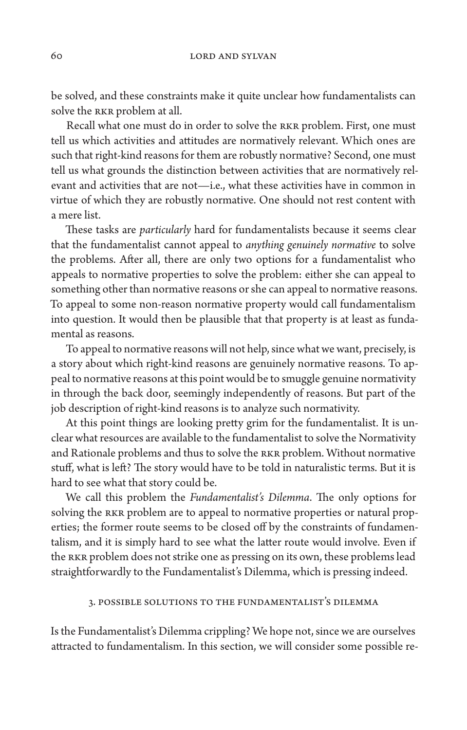be solved, and these constraints make it quite unclear how fundamentalists can solve the RKR problem at all.

Recall what one must do in order to solve the RKR problem. First, one must tell us which activities and attitudes are normatively relevant. Which ones are such that right-kind reasons for them are robustly normative? Second, one must tell us what grounds the distinction between activities that are normatively relevant and activities that are not—i.e., what these activities have in common in virtue of which they are robustly normative. One should not rest content with a mere list.

These tasks are *particularly* hard for fundamentalists because it seems clear that the fundamentalist cannot appeal to *anything genuinely normative* to solve the problems. After all, there are only two options for a fundamentalist who appeals to normative properties to solve the problem: either she can appeal to something other than normative reasons or she can appeal to normative reasons. To appeal to some non-reason normative property would call fundamentalism into question. It would then be plausible that that property is at least as fundamental as reasons.

To appeal to normative reasons will not help, since what we want, precisely, is a story about which right-kind reasons are genuinely normative reasons. To appeal to normative reasons at this point would be to smuggle genuine normativity in through the back door, seemingly independently of reasons. But part of the job description of right-kind reasons is to analyze such normativity.

At this point things are looking pretty grim for the fundamentalist. It is unclear what resources are available to the fundamentalist to solve the Normativity and Rationale problems and thus to solve the RKR problem. Without normative stuff, what is left? The story would have to be told in naturalistic terms. But it is hard to see what that story could be.

We call this problem the *Fundamentalist's Dilemma*. The only options for solving the RKR problem are to appeal to normative properties or natural properties; the former route seems to be closed off by the constraints of fundamentalism, and it is simply hard to see what the latter route would involve. Even if the RKR problem does not strike one as pressing on its own, these problems lead straightforwardly to the Fundamentalist's Dilemma, which is pressing indeed.

# 3. Possible Solutions to the Fundamentalist's Dilemma

Is the Fundamentalist's Dilemma crippling? We hope not, since we are ourselves attracted to fundamentalism. In this section, we will consider some possible re-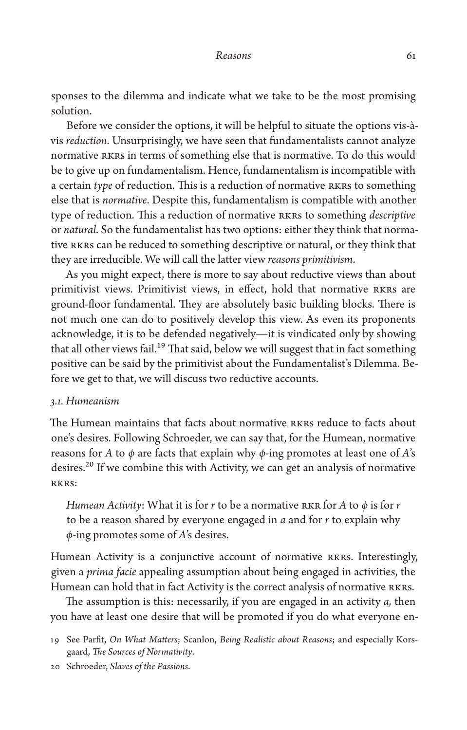sponses to the dilemma and indicate what we take to be the most promising solution.

Before we consider the options, it will be helpful to situate the options vis-àvis *reduction*. Unsurprisingly, we have seen that fundamentalists cannot analyze normative RKRs in terms of something else that is normative. To do this would be to give up on fundamentalism. Hence, fundamentalism is incompatible with a certain *type* of reduction. This is a reduction of normative RKRs to something else that is *normative*. Despite this, fundamentalism is compatible with another type of reduction. This a reduction of normative RKRs to something *descriptive* or *natural*. So the fundamentalist has two options: either they think that normative RKRs can be reduced to something descriptive or natural, or they think that they are irreducible. We will call the latter view *reasons primitivism*.

As you might expect, there is more to say about reductive views than about primitivist views. Primitivist views, in effect, hold that normative RKRs are ground-floor fundamental. They are absolutely basic building blocks. There is not much one can do to positively develop this view. As even its proponents acknowledge, it is to be defended negatively—it is vindicated only by showing that all other views fail.<sup>19</sup> That said, below we will suggest that in fact something positive can be said by the primitivist about the Fundamentalist's Dilemma. Before we get to that, we will discuss two reductive accounts.

# *3.1. Humeanism*

The Humean maintains that facts about normative RKRs reduce to facts about one's desires. Following Schroeder, we can say that, for the Humean, normative reasons for *A* to *φ* are facts that explain why *φ*-ing promotes at least one of *A*'s desires.<sup>20</sup> If we combine this with Activity, we can get an analysis of normative RKRs:

*Humean Activity*: What it is for *r* to be a normative RKR for *A* to  $\phi$  is for *r* to be a reason shared by everyone engaged in *a* and for *r* to explain why *φ*-ing promotes some of *A*'s desires.

Humean Activity is a conjunctive account of normative RKRs. Interestingly, given a *prima facie* appealing assumption about being engaged in activities, the Humean can hold that in fact Activity is the correct analysis of normative RKRs.

The assumption is this: necessarily, if you are engaged in an activity *a,* then you have at least one desire that will be promoted if you do what everyone en-

20 Schroeder, *Slaves of the Passions*.

<sup>19</sup> See Parfit, *On What Matters*; Scanlon, *Being Realistic about Reasons*; and especially Korsgaard, *The Sources of Normativity*.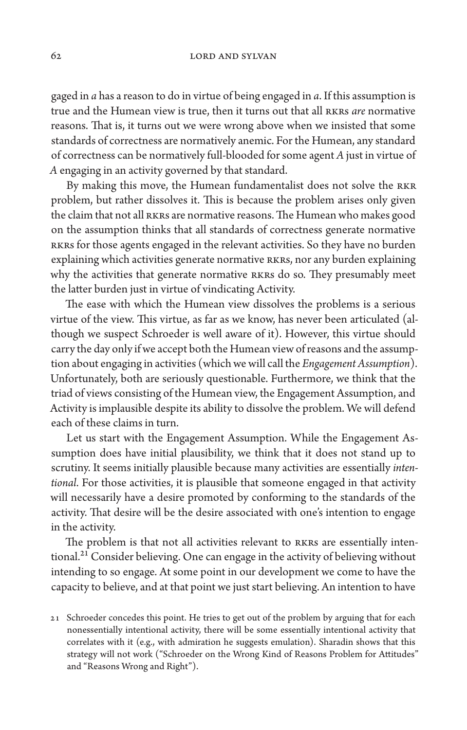62 LORD AND SYLVAN

gaged in *a* has a reason to do in virtue of being engaged in *a*. If this assumption is true and the Humean view is true, then it turns out that all RKRs *are* normative reasons. That is, it turns out we were wrong above when we insisted that some standards of correctness are normatively anemic. For the Humean, any standard of correctness can be normatively full-blooded for some agent *A* just in virtue of *A* engaging in an activity governed by that standard.

By making this move, the Humean fundamentalist does not solve the RKR problem, but rather dissolves it. This is because the problem arises only given the claim that not all RKRs are normative reasons. The Humean who makes good on the assumption thinks that all standards of correctness generate normative RKRs for those agents engaged in the relevant activities. So they have no burden explaining which activities generate normative RKRs, nor any burden explaining why the activities that generate normative RKRs do so. They presumably meet the latter burden just in virtue of vindicating Activity.

The ease with which the Humean view dissolves the problems is a serious virtue of the view. This virtue, as far as we know, has never been articulated (although we suspect Schroeder is well aware of it). However, this virtue should carry the day only if we accept both the Humean view of reasons and the assumption about engaging in activities (which we will call the *Engagement Assumption*). Unfortunately, both are seriously questionable. Furthermore, we think that the triad of views consisting of the Humean view, the Engagement Assumption, and Activity is implausible despite its ability to dissolve the problem. We will defend each of these claims in turn.

Let us start with the Engagement Assumption. While the Engagement Assumption does have initial plausibility, we think that it does not stand up to scrutiny. It seems initially plausible because many activities are essentially *intentional*. For those activities, it is plausible that someone engaged in that activity will necessarily have a desire promoted by conforming to the standards of the activity. That desire will be the desire associated with one's intention to engage in the activity.

The problem is that not all activities relevant to RKRs are essentially intentional.<sup>21</sup> Consider believing. One can engage in the activity of believing without intending to so engage. At some point in our development we come to have the capacity to believe, and at that point we just start believing. An intention to have

<sup>21</sup> Schroeder concedes this point. He tries to get out of the problem by arguing that for each nonessentially intentional activity, there will be some essentially intentional activity that correlates with it (e.g., with admiration he suggests emulation). Sharadin shows that this strategy will not work ("Schroeder on the Wrong Kind of Reasons Problem for Attitudes" and "Reasons Wrong and Right").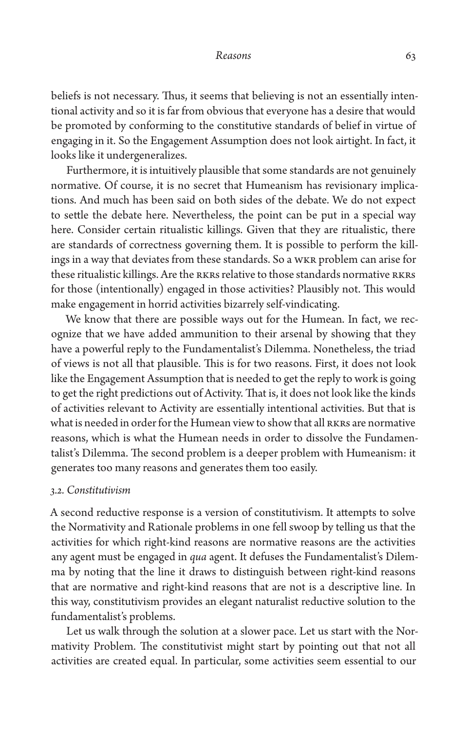beliefs is not necessary. Thus, it seems that believing is not an essentially intentional activity and so it is far from obvious that everyone has a desire that would be promoted by conforming to the constitutive standards of belief in virtue of engaging in it. So the Engagement Assumption does not look airtight. In fact, it looks like it undergeneralizes.

Furthermore, it is intuitively plausible that some standards are not genuinely normative. Of course, it is no secret that Humeanism has revisionary implications. And much has been said on both sides of the debate. We do not expect to settle the debate here. Nevertheless, the point can be put in a special way here. Consider certain ritualistic killings. Given that they are ritualistic, there are standards of correctness governing them. It is possible to perform the killings in a way that deviates from these standards. So a WKR problem can arise for these ritualistic killings. Are the RKRs relative to those standards normative RKRs for those (intentionally) engaged in those activities? Plausibly not. This would make engagement in horrid activities bizarrely self-vindicating.

We know that there are possible ways out for the Humean. In fact, we recognize that we have added ammunition to their arsenal by showing that they have a powerful reply to the Fundamentalist's Dilemma. Nonetheless, the triad of views is not all that plausible. This is for two reasons. First, it does not look like the Engagement Assumption that is needed to get the reply to work is going to get the right predictions out of Activity. That is, it does not look like the kinds of activities relevant to Activity are essentially intentional activities. But that is what is needed in order for the Humean view to show that all RKRs are normative reasons, which is what the Humean needs in order to dissolve the Fundamentalist's Dilemma. The second problem is a deeper problem with Humeanism: it generates too many reasons and generates them too easily.

# *3.2. Constitutivism*

A second reductive response is a version of constitutivism. It attempts to solve the Normativity and Rationale problems in one fell swoop by telling us that the activities for which right-kind reasons are normative reasons are the activities any agent must be engaged in *qua* agent. It defuses the Fundamentalist's Dilemma by noting that the line it draws to distinguish between right-kind reasons that are normative and right-kind reasons that are not is a descriptive line. In this way, constitutivism provides an elegant naturalist reductive solution to the fundamentalist's problems.

Let us walk through the solution at a slower pace. Let us start with the Normativity Problem. The constitutivist might start by pointing out that not all activities are created equal. In particular, some activities seem essential to our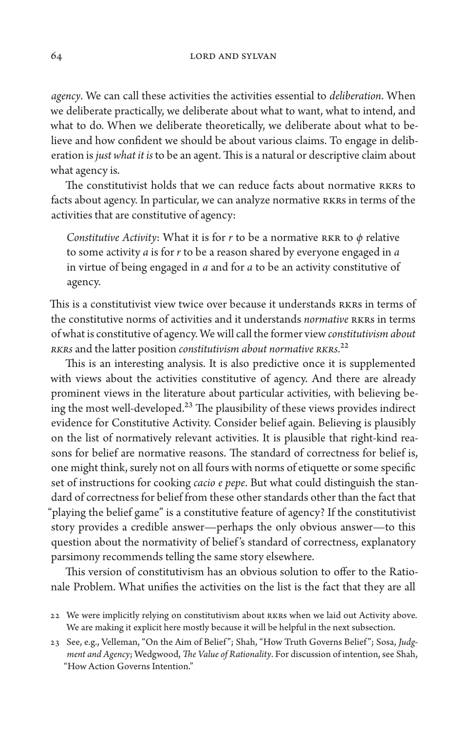64 LORD AND SYLVAN

*agency*. We can call these activities the activities essential to *deliberation*. When we deliberate practically, we deliberate about what to want, what to intend, and what to do. When we deliberate theoretically, we deliberate about what to believe and how confident we should be about various claims. To engage in deliberation is *just what it is* to be an agent. This is a natural or descriptive claim about what agency is.

The constitutivist holds that we can reduce facts about normative RKRs to facts about agency. In particular, we can analyze normative RKRs in terms of the activities that are constitutive of agency:

*Constitutive Activity*: What it is for *r* to be a normative RKR to *φ* relative to some activity *a* is for *r* to be a reason shared by everyone engaged in *a*  in virtue of being engaged in *a* and for *a* to be an activity constitutive of agency.

This is a constitutivist view twice over because it understands RKRs in terms of the constitutive norms of activities and it understands *normative* RKRs in terms of what is constitutive of agency. We will call the former view *constitutivism about RKRs* and the latter position *constitutivism about normative RKRs*.22

This is an interesting analysis. It is also predictive once it is supplemented with views about the activities constitutive of agency. And there are already prominent views in the literature about particular activities, with believing being the most well-developed.<sup>23</sup> The plausibility of these views provides indirect evidence for Constitutive Activity. Consider belief again. Believing is plausibly on the list of normatively relevant activities. It is plausible that right-kind reasons for belief are normative reasons. The standard of correctness for belief is, one might think, surely not on all fours with norms of etiquette or some specific set of instructions for cooking *cacio e pepe*. But what could distinguish the standard of correctness for belief from these other standards other than the fact that "playing the belief game" is a constitutive feature of agency? If the constitutivist story provides a credible answer—perhaps the only obvious answer—to this question about the normativity of belief 's standard of correctness, explanatory parsimony recommends telling the same story elsewhere.

This version of constitutivism has an obvious solution to offer to the Rationale Problem. What unifies the activities on the list is the fact that they are all

<sup>22</sup> We were implicitly relying on constitutivism about RKRs when we laid out Activity above. We are making it explicit here mostly because it will be helpful in the next subsection.

<sup>23</sup> See, e.g., Velleman, "On the Aim of Belief "; Shah, "How Truth Governs Belief "; Sosa, *Judgment and Agency*; Wedgwood, *The Value of Rationality*. For discussion of intention, see Shah, "How Action Governs Intention."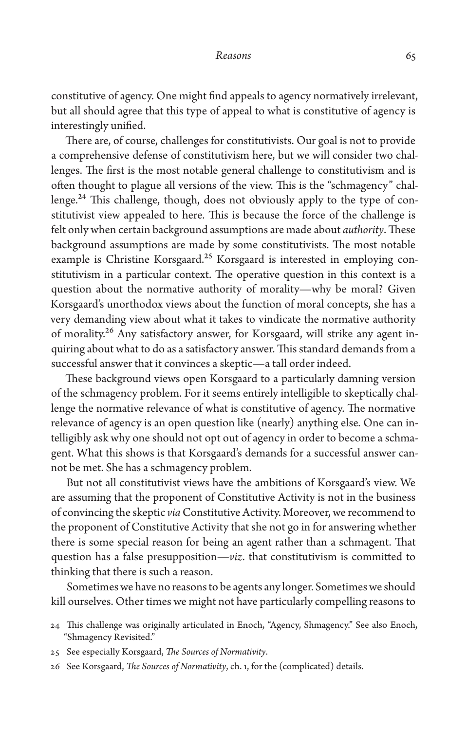constitutive of agency. One might find appeals to agency normatively irrelevant, but all should agree that this type of appeal to what is constitutive of agency is interestingly unified.

There are, of course, challenges for constitutivists. Our goal is not to provide a comprehensive defense of constitutivism here, but we will consider two challenges. The first is the most notable general challenge to constitutivism and is often thought to plague all versions of the view. This is the "schmagency" challenge.<sup>24</sup> This challenge, though, does not obviously apply to the type of constitutivist view appealed to here. This is because the force of the challenge is felt only when certain background assumptions are made about *authority*. These background assumptions are made by some constitutivists. The most notable example is Christine Korsgaard.<sup>25</sup> Korsgaard is interested in employing constitutivism in a particular context. The operative question in this context is a question about the normative authority of morality—why be moral? Given Korsgaard's unorthodox views about the function of moral concepts, she has a very demanding view about what it takes to vindicate the normative authority of morality.<sup>26</sup> Any satisfactory answer, for Korsgaard, will strike any agent inquiring about what to do as a satisfactory answer. This standard demands from a successful answer that it convinces a skeptic—a tall order indeed.

These background views open Korsgaard to a particularly damning version of the schmagency problem. For it seems entirely intelligible to skeptically challenge the normative relevance of what is constitutive of agency. The normative relevance of agency is an open question like (nearly) anything else. One can intelligibly ask why one should not opt out of agency in order to become a schmagent. What this shows is that Korsgaard's demands for a successful answer cannot be met. She has a schmagency problem.

But not all constitutivist views have the ambitions of Korsgaard's view. We are assuming that the proponent of Constitutive Activity is not in the business of convincing the skeptic *via* Constitutive Activity. Moreover, we recommend to the proponent of Constitutive Activity that she not go in for answering whether there is some special reason for being an agent rather than a schmagent. That question has a false presupposition—*viz.* that constitutivism is committed to thinking that there is such a reason.

Sometimes we have no reasons to be agents any longer. Sometimes we should kill ourselves. Other times we might not have particularly compelling reasons to

- 25 See especially Korsgaard, *The Sources of Normativity*.
- 26 See Korsgaard, *The Sources of Normativity*, ch. 1, for the (complicated) details.

<sup>24</sup> This challenge was originally articulated in Enoch, "Agency, Shmagency." See also Enoch, "Shmagency Revisited."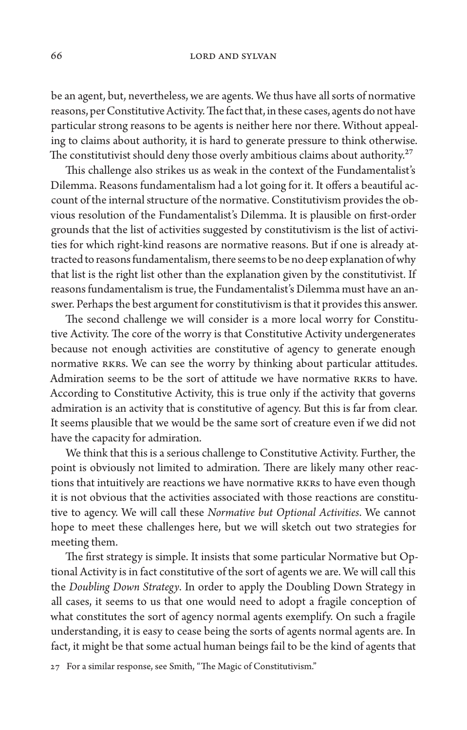be an agent, but, nevertheless, we are agents. We thus have all sorts of normative reasons, per Constitutive Activity. The fact that, in these cases, agents do not have particular strong reasons to be agents is neither here nor there. Without appealing to claims about authority, it is hard to generate pressure to think otherwise. The constitutivist should deny those overly ambitious claims about authority.<sup>27</sup>

This challenge also strikes us as weak in the context of the Fundamentalist's Dilemma. Reasons fundamentalism had a lot going for it. It offers a beautiful account of the internal structure of the normative. Constitutivism provides the obvious resolution of the Fundamentalist's Dilemma. It is plausible on first-order grounds that the list of activities suggested by constitutivism is the list of activities for which right-kind reasons are normative reasons. But if one is already attracted to reasons fundamentalism, there seems to be no deep explanation of why that list is the right list other than the explanation given by the constitutivist. If reasons fundamentalism is true, the Fundamentalist's Dilemma must have an answer. Perhaps the best argument for constitutivism is that it provides this answer.

The second challenge we will consider is a more local worry for Constitutive Activity. The core of the worry is that Constitutive Activity undergenerates because not enough activities are constitutive of agency to generate enough normative RKRs. We can see the worry by thinking about particular attitudes. Admiration seems to be the sort of attitude we have normative RKRs to have. According to Constitutive Activity, this is true only if the activity that governs admiration is an activity that is constitutive of agency. But this is far from clear. It seems plausible that we would be the same sort of creature even if we did not have the capacity for admiration.

We think that this is a serious challenge to Constitutive Activity. Further, the point is obviously not limited to admiration. There are likely many other reactions that intuitively are reactions we have normative RKRs to have even though it is not obvious that the activities associated with those reactions are constitutive to agency. We will call these *Normative but Optional Activities*. We cannot hope to meet these challenges here, but we will sketch out two strategies for meeting them.

The first strategy is simple. It insists that some particular Normative but Optional Activity is in fact constitutive of the sort of agents we are. We will call this the *Doubling Down Strategy*. In order to apply the Doubling Down Strategy in all cases, it seems to us that one would need to adopt a fragile conception of what constitutes the sort of agency normal agents exemplify. On such a fragile understanding, it is easy to cease being the sorts of agents normal agents are. In fact, it might be that some actual human beings fail to be the kind of agents that

27 For a similar response, see Smith, "The Magic of Constitutivism."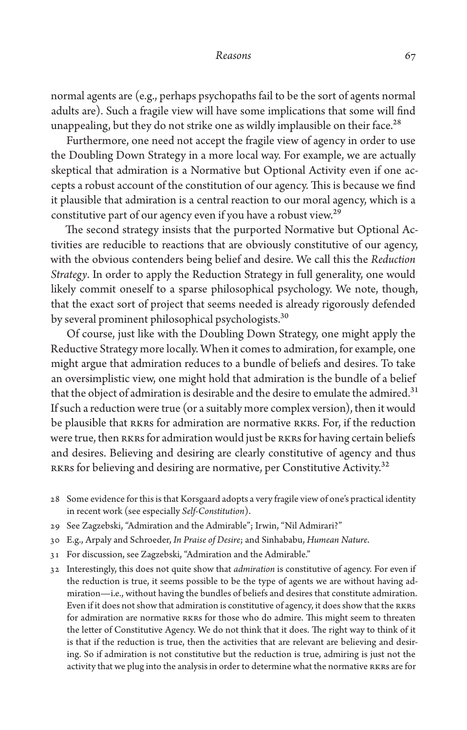normal agents are (e.g., perhaps psychopaths fail to be the sort of agents normal adults are). Such a fragile view will have some implications that some will find unappealing, but they do not strike one as wildly implausible on their face.<sup>28</sup>

Furthermore, one need not accept the fragile view of agency in order to use the Doubling Down Strategy in a more local way. For example, we are actually skeptical that admiration is a Normative but Optional Activity even if one accepts a robust account of the constitution of our agency. This is because we find it plausible that admiration is a central reaction to our moral agency, which is a constitutive part of our agency even if you have a robust view.<sup>29</sup>

The second strategy insists that the purported Normative but Optional Activities are reducible to reactions that are obviously constitutive of our agency, with the obvious contenders being belief and desire. We call this the *Reduction Strategy*. In order to apply the Reduction Strategy in full generality, one would likely commit oneself to a sparse philosophical psychology. We note, though, that the exact sort of project that seems needed is already rigorously defended by several prominent philosophical psychologists.<sup>30</sup>

Of course, just like with the Doubling Down Strategy, one might apply the Reductive Strategy more locally. When it comes to admiration, for example, one might argue that admiration reduces to a bundle of beliefs and desires. To take an oversimplistic view, one might hold that admiration is the bundle of a belief that the object of admiration is desirable and the desire to emulate the admired.<sup>31</sup> If such a reduction were true (or a suitably more complex version), then it would be plausible that RKRs for admiration are normative RKRs. For, if the reduction were true, then RKRs for admiration would just be RKRs for having certain beliefs and desires. Believing and desiring are clearly constitutive of agency and thus RKRs for believing and desiring are normative, per Constitutive Activity.<sup>32</sup>

- 28 Some evidence for this is that Korsgaard adopts a very fragile view of one's practical identity in recent work (see especially *Self-Constitution*).
- 29 See Zagzebski, "Admiration and the Admirable"; Irwin, "Nil Admirari?"
- 30 E.g., Arpaly and Schroeder, *In Praise of Desire*; and Sinhababu, *Humean Nature*.
- 31 For discussion, see Zagzebski, "Admiration and the Admirable."
- 32 Interestingly, this does not quite show that *admiration* is constitutive of agency. For even if the reduction is true, it seems possible to be the type of agents we are without having admiration—i.e., without having the bundles of beliefs and desires that constitute admiration. Even if it does not show that admiration is constitutive of agency, it does show that the RKRs for admiration are normative RKRs for those who do admire. This might seem to threaten the letter of Constitutive Agency. We do not think that it does. The right way to think of it is that if the reduction is true, then the activities that are relevant are believing and desiring. So if admiration is not constitutive but the reduction is true, admiring is just not the activity that we plug into the analysis in order to determine what the normative RKRs are for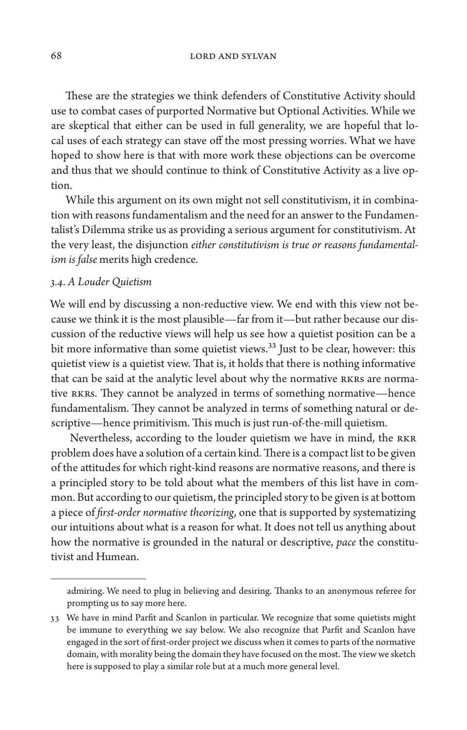68 LORD AND SYLVAN

These are the strategies we think defenders of Constitutive Activity should use to combat cases of purported Normative but Optional Activities. While we are skeptical that either can be used in full generality, we are hopeful that local uses of each strategy can stave off the most pressing worries. What we have hoped to show here is that with more work these objections can be overcome and thus that we should continue to think of Constitutive Activity as a live option.

While this argument on its own might not sell constitutivism, it in combination with reasons fundamentalism and the need for an answer to the Fundamentalist's Dilemma strike us as providing a serious argument for constitutivism. At the very least, the disjunction *either constitutivism is true or reasons fundamentalism is false* merits high credence.

### *3.4. A Louder Quietism*

We will end by discussing a non-reductive view. We end with this view not because we think it is the most plausible—far from it—but rather because our discussion of the reductive views will help us see how a quietist position can be a bit more informative than some quietist views.<sup>33</sup> Just to be clear, however: this quietist view is a quietist view. That is, it holds that there is nothing informative that can be said at the analytic level about why the normative RKRs are normative RKRs. They cannot be analyzed in terms of something normative—hence fundamentalism. They cannot be analyzed in terms of something natural or descriptive—hence primitivism. This much is just run-of-the-mill quietism.

 Nevertheless, according to the louder quietism we have in mind, the RKR problem does have a solution of a certain kind. There is a compact list to be given of the attitudes for which right-kind reasons are normative reasons, and there is a principled story to be told about what the members of this list have in common. But according to our quietism, the principled story to be given is at bottom a piece of *first-order normative theorizing*, one that is supported by systematizing our intuitions about what is a reason for what. It does not tell us anything about how the normative is grounded in the natural or descriptive, *pace* the constitutivist and Humean.

admiring. We need to plug in believing and desiring. Thanks to an anonymous referee for prompting us to say more here.

<sup>33</sup> We have in mind Parfit and Scanlon in particular. We recognize that some quietists might be immune to everything we say below. We also recognize that Parfit and Scanlon have engaged in the sort of first-order project we discuss when it comes to parts of the normative domain, with morality being the domain they have focused on the most. The view we sketch here is supposed to play a similar role but at a much more general level.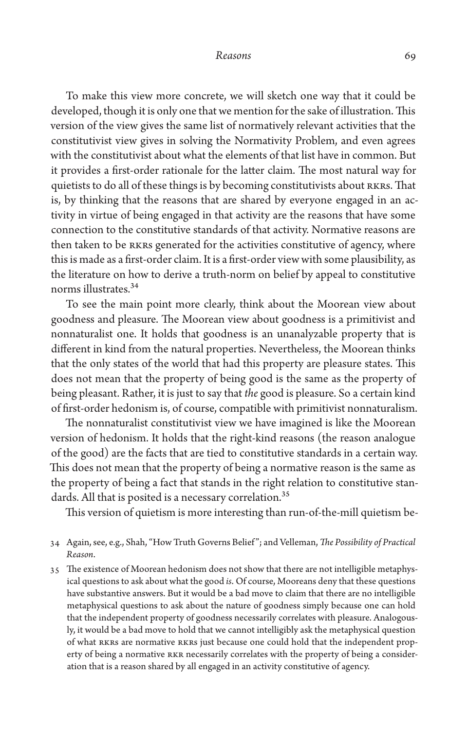To make this view more concrete, we will sketch one way that it could be developed, though it is only one that we mention for the sake of illustration. This version of the view gives the same list of normatively relevant activities that the constitutivist view gives in solving the Normativity Problem, and even agrees with the constitutivist about what the elements of that list have in common. But it provides a first-order rationale for the latter claim. The most natural way for quietists to do all of these things is by becoming constitutivists about RKRs. That is, by thinking that the reasons that are shared by everyone engaged in an activity in virtue of being engaged in that activity are the reasons that have some connection to the constitutive standards of that activity. Normative reasons are then taken to be RKRs generated for the activities constitutive of agency, where this is made as a first-order claim. It is a first-order view with some plausibility, as the literature on how to derive a truth-norm on belief by appeal to constitutive norms illustrates.<sup>34</sup>

To see the main point more clearly, think about the Moorean view about goodness and pleasure. The Moorean view about goodness is a primitivist and nonnaturalist one. It holds that goodness is an unanalyzable property that is different in kind from the natural properties. Nevertheless, the Moorean thinks that the only states of the world that had this property are pleasure states. This does not mean that the property of being good is the same as the property of being pleasant. Rather, it is just to say that *the* good is pleasure. So a certain kind of first-order hedonism is, of course, compatible with primitivist nonnaturalism.

The nonnaturalist constitutivist view we have imagined is like the Moorean version of hedonism. It holds that the right-kind reasons (the reason analogue of the good) are the facts that are tied to constitutive standards in a certain way. This does not mean that the property of being a normative reason is the same as the property of being a fact that stands in the right relation to constitutive standards. All that is posited is a necessary correlation.<sup>35</sup>

This version of quietism is more interesting than run-of-the-mill quietism be-

35 The existence of Moorean hedonism does not show that there are not intelligible metaphysical questions to ask about what the good *is*. Of course, Mooreans deny that these questions have substantive answers. But it would be a bad move to claim that there are no intelligible metaphysical questions to ask about the nature of goodness simply because one can hold that the independent property of goodness necessarily correlates with pleasure. Analogously, it would be a bad move to hold that we cannot intelligibly ask the metaphysical question of what RKRs are normative RKRs just because one could hold that the independent property of being a normative RKR necessarily correlates with the property of being a consideration that is a reason shared by all engaged in an activity constitutive of agency.

<sup>34</sup> Again, see, e.g., Shah, "How Truth Governs Belief "; and Velleman, *The Possibility of Practical Reason*.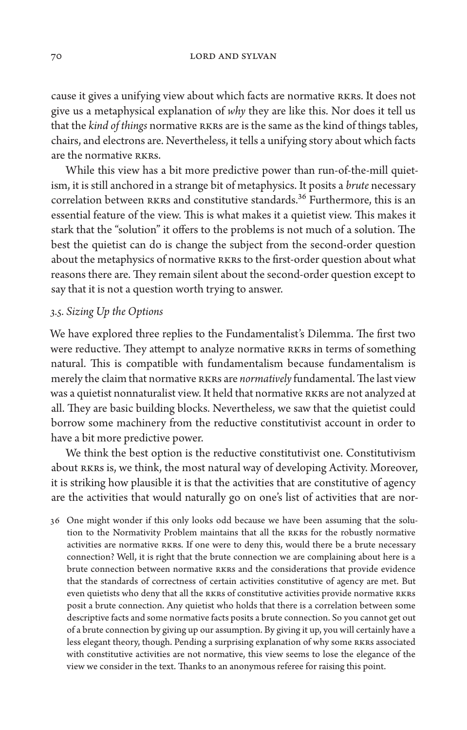cause it gives a unifying view about which facts are normative RKRs. It does not give us a metaphysical explanation of *why* they are like this. Nor does it tell us that the *kind of things* normative RKRs are is the same as the kind of things tables, chairs, and electrons are. Nevertheless, it tells a unifying story about which facts are the normative RKRs.

While this view has a bit more predictive power than run-of-the-mill quietism, it is still anchored in a strange bit of metaphysics. It posits a *brute* necessary correlation between RKRs and constitutive standards.<sup>36</sup> Furthermore, this is an essential feature of the view. This is what makes it a quietist view. This makes it stark that the "solution" it offers to the problems is not much of a solution. The best the quietist can do is change the subject from the second-order question about the metaphysics of normative RKRs to the first-order question about what reasons there are. They remain silent about the second-order question except to say that it is not a question worth trying to answer.

# *3.5. Sizing Up the Options*

We have explored three replies to the Fundamentalist's Dilemma. The first two were reductive. They attempt to analyze normative RKRs in terms of something natural. This is compatible with fundamentalism because fundamentalism is merely the claim that normative RKRs are *normatively* fundamental. The last view was a quietist nonnaturalist view. It held that normative RKRs are not analyzed at all. They are basic building blocks. Nevertheless, we saw that the quietist could borrow some machinery from the reductive constitutivist account in order to have a bit more predictive power.

We think the best option is the reductive constitutivist one. Constitutivism about RKRs is, we think, the most natural way of developing Activity. Moreover, it is striking how plausible it is that the activities that are constitutive of agency are the activities that would naturally go on one's list of activities that are nor-

36 One might wonder if this only looks odd because we have been assuming that the solution to the Normativity Problem maintains that all the RKRs for the robustly normative activities are normative RKRs. If one were to deny this, would there be a brute necessary connection? Well, it is right that the brute connection we are complaining about here is a brute connection between normative RKRs and the considerations that provide evidence that the standards of correctness of certain activities constitutive of agency are met. But even quietists who deny that all the RKRs of constitutive activities provide normative RKRs posit a brute connection. Any quietist who holds that there is a correlation between some descriptive facts and some normative facts posits a brute connection. So you cannot get out of a brute connection by giving up our assumption. By giving it up, you will certainly have a less elegant theory, though. Pending a surprising explanation of why some RKRs associated with constitutive activities are not normative, this view seems to lose the elegance of the view we consider in the text. Thanks to an anonymous referee for raising this point.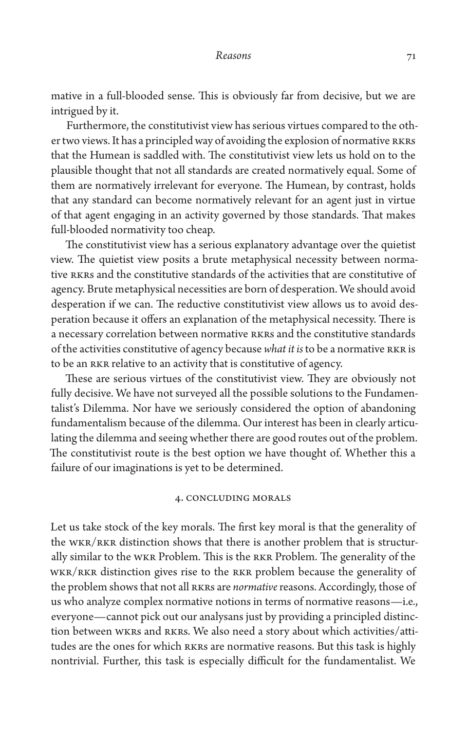mative in a full-blooded sense. This is obviously far from decisive, but we are intrigued by it.

Furthermore, the constitutivist view has serious virtues compared to the other two views. It has a principled way of avoiding the explosion of normative RKRs that the Humean is saddled with. The constitutivist view lets us hold on to the plausible thought that not all standards are created normatively equal. Some of them are normatively irrelevant for everyone. The Humean, by contrast, holds that any standard can become normatively relevant for an agent just in virtue of that agent engaging in an activity governed by those standards. That makes full-blooded normativity too cheap.

The constitutivist view has a serious explanatory advantage over the quietist view. The quietist view posits a brute metaphysical necessity between normative RKRs and the constitutive standards of the activities that are constitutive of agency. Brute metaphysical necessities are born of desperation. We should avoid desperation if we can. The reductive constitutivist view allows us to avoid desperation because it offers an explanation of the metaphysical necessity. There is a necessary correlation between normative RKRs and the constitutive standards of the activities constitutive of agency because *what it is* to be a normative RKR is to be an RKR relative to an activity that is constitutive of agency.

These are serious virtues of the constitutivist view. They are obviously not fully decisive. We have not surveyed all the possible solutions to the Fundamentalist's Dilemma. Nor have we seriously considered the option of abandoning fundamentalism because of the dilemma. Our interest has been in clearly articulating the dilemma and seeing whether there are good routes out of the problem. The constitutivist route is the best option we have thought of. Whether this a failure of our imaginations is yet to be determined.

## 4. Concluding Morals

Let us take stock of the key morals. The first key moral is that the generality of the WKR/RKR distinction shows that there is another problem that is structurally similar to the WKR Problem. This is the RKR Problem. The generality of the WKR/RKR distinction gives rise to the RKR problem because the generality of the problem shows that not all RKRs are *normative* reasons. Accordingly, those of us who analyze complex normative notions in terms of normative reasons—i.e., everyone—cannot pick out our analysans just by providing a principled distinction between WKRs and RKRs. We also need a story about which activities/attitudes are the ones for which RKRs are normative reasons. But this task is highly nontrivial. Further, this task is especially difficult for the fundamentalist. We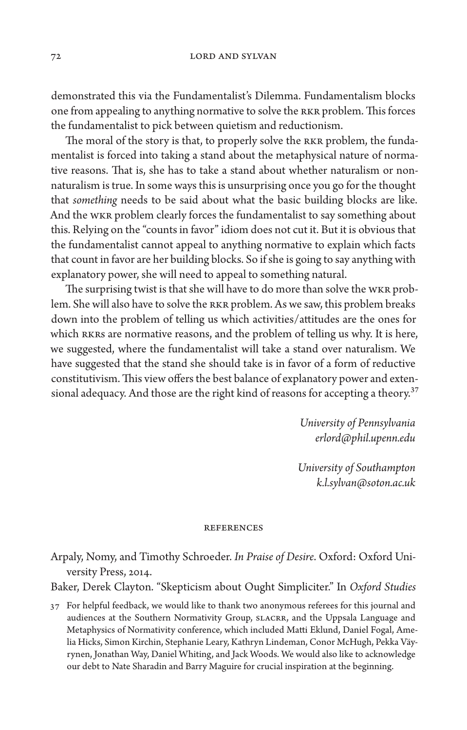demonstrated this via the Fundamentalist's Dilemma. Fundamentalism blocks one from appealing to anything normative to solve the RKR problem. This forces the fundamentalist to pick between quietism and reductionism.

The moral of the story is that, to properly solve the RKR problem, the fundamentalist is forced into taking a stand about the metaphysical nature of normative reasons. That is, she has to take a stand about whether naturalism or nonnaturalism is true. In some ways this is unsurprising once you go for the thought that *something* needs to be said about what the basic building blocks are like. And the WKR problem clearly forces the fundamentalist to say something about this. Relying on the "counts in favor" idiom does not cut it. But it is obvious that the fundamentalist cannot appeal to anything normative to explain which facts that count in favor are her building blocks. So if she is going to say anything with explanatory power, she will need to appeal to something natural.

The surprising twist is that she will have to do more than solve the WKR problem. She will also have to solve the RKR problem. As we saw, this problem breaks down into the problem of telling us which activities/attitudes are the ones for which RKRs are normative reasons, and the problem of telling us why. It is here, we suggested, where the fundamentalist will take a stand over naturalism. We have suggested that the stand she should take is in favor of a form of reductive constitutivism. This view offers the best balance of explanatory power and extensional adequacy. And those are the right kind of reasons for accepting a theory.<sup>37</sup>

> *University of Pennsylvania [erlord@phil.upenn.edu](mailto:erlord@phil.upenn.edu)*

*University of Southampton [k.l.sylvan@soton.ac.uk](mailto:k.l.sylvan@soton.ac.uk)*

#### **REFERENCES**

Arpaly, Nomy, and Timothy Schroeder. *In Praise of Desire*. Oxford: Oxford University Press, 2014.

Baker, Derek Clayton. "Skepticism about Ought Simpliciter." In *Oxford Studies* 

37 For helpful feedback, we would like to thank two anonymous referees for this journal and audiences at the Southern Normativity Group, SLACRR, and the Uppsala Language and Metaphysics of Normativity conference, which included Matti Eklund, Daniel Fogal, Amelia Hicks, Simon Kirchin, Stephanie Leary, Kathryn Lindeman, Conor McHugh, Pekka Väyrynen, Jonathan Way, Daniel Whiting, and Jack Woods. We would also like to acknowledge our debt to Nate Sharadin and Barry Maguire for crucial inspiration at the beginning.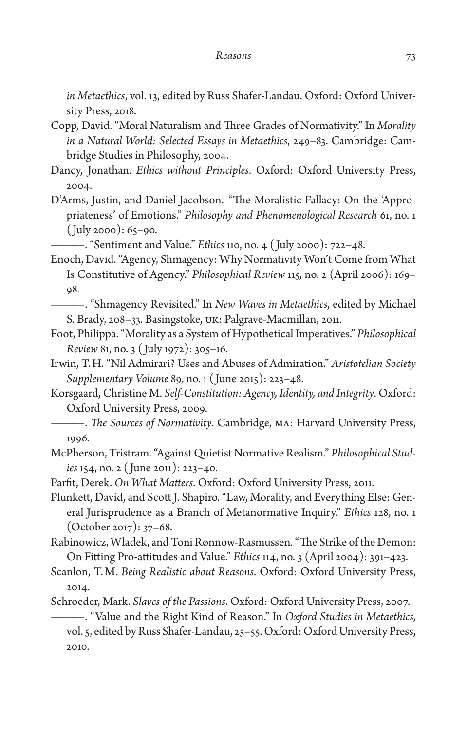*in Metaethics*, vol. 13, edited by Russ Shafer-Landau. Oxford: Oxford University Press, 2018.

- Copp, David. "Moral Naturalism and Three Grades of Normativity." In *Morality in a Natural World: Selected Essays in Metaethics*, 249–83. Cambridge: Cambridge Studies in Philosophy, 2004.
- Dancy, Jonathan. *Ethics without Principles*. Oxford: Oxford University Press, 2004.
- D'Arms, Justin, and Daniel Jacobson. "The Moralistic Fallacy: On the 'Appropriateness' of Emotions." *Philosophy and Phenomenological Research* 61, no. 1  $(luly 2000): 65–90.$

———. "Sentiment and Value." *Ethics* 110, no. 4 ( July 2000): 722–48.

- Enoch, David. "Agency, Shmagency: Why Normativity Won't Come from What Is Constitutive of Agency." *Philosophical Review* 115, no. 2 (April 2006): 169– 98.
- ———. "Shmagency Revisited." In *New Waves in Metaethics*, edited by Michael S. Brady, 208–33. Basingstoke, UK: Palgrave-Macmillan, 2011.
- Foot, Philippa. "Morality as a System of Hypothetical Imperatives." *Philosophical Review* 81, no. 3 ( July 1972): 305–16.
- Irwin, T.H. "Nil Admirari? Uses and Abuses of Admiration." *Aristotelian Society Supplementary Volume* 89, no. 1 ( June 2015): 223–48.
- Korsgaard, Christine M. *Self-Constitution: Agency, Identity, and Integrity*. Oxford: Oxford University Press, 2009.
	- ———. *The Sources of Normativity*. Cambridge, MA: Harvard University Press, 1996.
- McPherson, Tristram. "Against Quietist Normative Realism." *Philosophical Studies* 154, no. 2 ( June 2011): 223–40.

Parfit, Derek. *On What Matters*. Oxford: Oxford University Press, 2011.

Plunkett, David, and Scott J. Shapiro. "Law, Morality, and Everything Else: General Jurisprudence as a Branch of Metanormative Inquiry." *Ethics* 128, no. 1 (October 2017): 37–68.

Rabinowicz, Wladek, and Toni Rønnow-Rasmussen. "The Strike of the Demon: On Fitting Pro-attitudes and Value." *Ethics* 114, no. 3 (April 2004): 391–423.

Scanlon, T.M. *Being Realistic about Reasons*. Oxford: Oxford University Press, 2014.

Schroeder, Mark. *Slaves of the Passions*. Oxford: Oxford University Press, 2007.

———. "Value and the Right Kind of Reason." In *Oxford Studies in Metaethics*, vol. 5, edited by Russ Shafer-Landau, 25–55. Oxford: Oxford University Press, 2010.